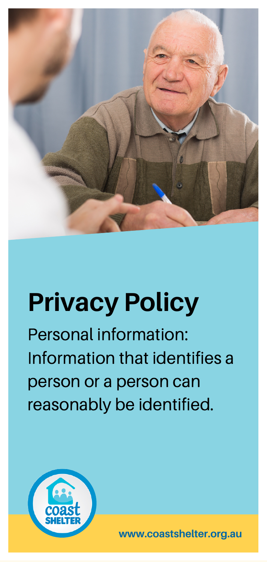

# **Privacy Policy**

Personal information: Information that identifies a person or a person can reasonably be identified.



**www.coastshelter.org.au**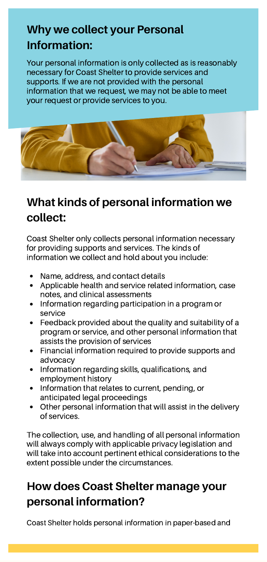## **Why we collect your Personal Information:**

Your personal information is only collected as is reasonably necessary for Coast Shelter to provide services and supports. If we are not provided with the personal information that we request, we may not be able to meet your request or provide services to you.



## **What kinds of personal information we collect:**

Coast Shelter only collects personal information necessary for providing supports and services. The kinds of information we collect and hold about you include:

- Name, address, and contact details
- Applicable health and service related information, case notes, and clinical assessments
- Information regarding participation in a program or service
- Feedback provided about the quality and suitability of a program or service, and other personal information that assists the provision of services
- Financial information required to provide supports and advocacy
- Information regarding skills, qualifications, and employment history
- Information that relates to current, pending, or anticipated legal proceedings
- Other personal information that will assist in the delivery of services.

The collection, use, and handling of all personal information will always comply with applicable privacy legislation and will take into account pertinent ethical considerations to the extent possible under the circumstances.

### **How does Coast Shelter manage your personal information?**

Coast Shelter holds personal information in paper-based and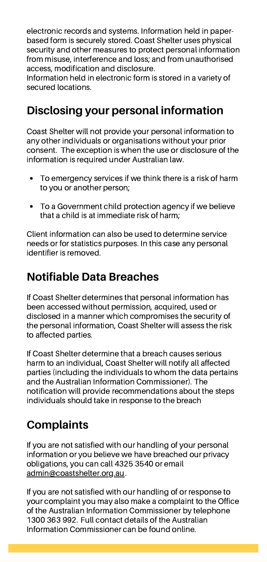electronic records and systems. Information held in paperbased form is securely stored. Coast Shelter uses physical security and other measures to protect personal information from misuse, interference and loss; and from unauthorised access, modification and disclosure.

Information held in electronic form is stored in a variety of secured locations.

#### **Disclosing your personal information**

Coast Shelter will not provide your personal information to any other individuals or organisations without your prior consent. The exception is when the use or disclosure of the information is required under Australian law.

- To emergency services if we think there is a risk of harm to you or another person;
- To a Government child protection agency if we believe that a child is at immediate risk of harm;

Client information can also be used to determine service needs or for statistics purposes. In this case any personal identifier is removed.

#### **Notifiable Data Breaches**

If Coast Shelter determines that personal information has been accessed without permission, acquired, used or disclosed in a manner which compromises the security of the personal information, Coast Shelter will assess the risk to affected parties.

If Coast Shelter determine that a breach causes serious harm to an individual, Coast Shelter will notify all affected parties (including the individuals to whom the data pertains and the Australian Information Commissioner). The notification will provide recommendations about the steps individuals should take in response to the breach

#### **Complaints**

If you are not satisfied with our handling of your personal information or you believe we have breached our privacy obligations, you can call 4325 3540 or email admin@coastshelter.org.au.

If you are not satisfied with our handling of or response to your complaint you may also make a complaint to the Office of the Australian Information Commissioner by telephone 1300 363 992. Full contact details of the Australian Information Commissioner can be found online.